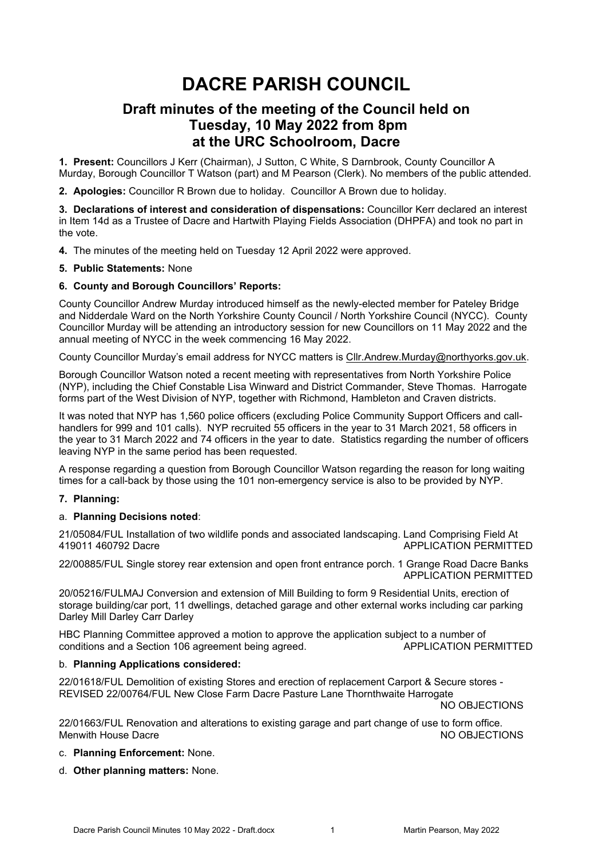# **DACRE PARISH COUNCIL**

# **Draft minutes of the meeting of the Council held on Tuesday, 10 May 2022 from 8pm at the URC Schoolroom, Dacre**

**1. Present:** Councillors J Kerr (Chairman), J Sutton, C White, S Darnbrook, County Councillor A Murday, Borough Councillor T Watson (part) and M Pearson (Clerk). No members of the public attended.

**2. Apologies:** Councillor R Brown due to holiday. Councillor A Brown due to holiday.

**3. Declarations of interest and consideration of dispensations:** Councillor Kerr declared an interest in Item 14d as a Trustee of Dacre and Hartwith Playing Fields Association (DHPFA) and took no part in the vote.

**4.** The minutes of the meeting held on Tuesday 12 April 2022 were approved.

#### **5. Public Statements:** None

#### **6. County and Borough Councillors' Reports:**

County Councillor Andrew Murday introduced himself as the newly-elected member for Pateley Bridge and Nidderdale Ward on the North Yorkshire County Council / North Yorkshire Council (NYCC). County Councillor Murday will be attending an introductory session for new Councillors on 11 May 2022 and the annual meeting of NYCC in the week commencing 16 May 2022.

County Councillor Murday's email address for NYCC matters is [Cllr.Andrew.Murday@northyorks.gov.uk.](mailto:Cllr.Andrew.Murday@northyorks.gov.uk)

Borough Councillor Watson noted a recent meeting with representatives from North Yorkshire Police (NYP), including the Chief Constable Lisa Winward and District Commander, Steve Thomas. Harrogate forms part of the West Division of NYP, together with Richmond, Hambleton and Craven districts.

It was noted that NYP has 1,560 police officers (excluding Police Community Support Officers and callhandlers for 999 and 101 calls). NYP recruited 55 officers in the year to 31 March 2021, 58 officers in the year to 31 March 2022 and 74 officers in the year to date. Statistics regarding the number of officers leaving NYP in the same period has been requested.

A response regarding a question from Borough Councillor Watson regarding the reason for long waiting times for a call-back by those using the 101 non-emergency service is also to be provided by NYP.

#### **7. Planning:**

#### a. **Planning Decisions noted**:

21/05084/FUL Installation of two wildlife ponds and associated landscaping. Land Comprising Field At 419011 460792 Dacre APPLICATION PERMITTED

22/00885/FUL Single storey rear extension and open front entrance porch. 1 Grange Road Dacre Banks APPLICATION PERMITTED

20/05216/FULMAJ Conversion and extension of Mill Building to form 9 Residential Units, erection of storage building/car port, 11 dwellings, detached garage and other external works including car parking Darley Mill Darley Carr Darley

HBC Planning Committee approved a motion to approve the application subject to a number of conditions and a Section 106 agreement being agreed. AppLICATION PERMITTED

#### b. **Planning Applications considered:**

22/01618/FUL Demolition of existing Stores and erection of replacement Carport & Secure stores - REVISED 22/00764/FUL New Close Farm Dacre Pasture Lane Thornthwaite Harrogate

NO OBJECTIONS

22/01663/FUL Renovation and alterations to existing garage and part change of use to form office. Menwith House Dacre **No. 2018** NO OBJECTIONS

- c. **Planning Enforcement:** None.
- d. **Other planning matters:** None.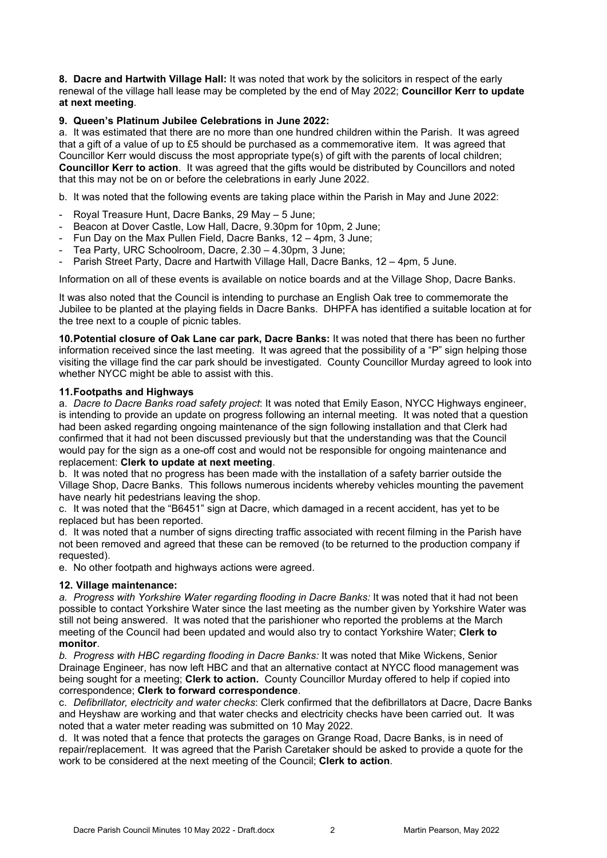**8. Dacre and Hartwith Village Hall:** It was noted that work by the solicitors in respect of the early renewal of the village hall lease may be completed by the end of May 2022; **Councillor Kerr to update at next meeting**.

## **9. Queen's Platinum Jubilee Celebrations in June 2022:**

a. It was estimated that there are no more than one hundred children within the Parish. It was agreed that a gift of a value of up to £5 should be purchased as a commemorative item. It was agreed that Councillor Kerr would discuss the most appropriate type(s) of gift with the parents of local children; **Councillor Kerr to action**. It was agreed that the gifts would be distributed by Councillors and noted that this may not be on or before the celebrations in early June 2022.

b. It was noted that the following events are taking place within the Parish in May and June 2022:

- Royal Treasure Hunt, Dacre Banks, 29 May 5 June;
- Beacon at Dover Castle, Low Hall, Dacre, 9.30pm for 10pm, 2 June;
- Fun Day on the Max Pullen Field, Dacre Banks, 12 4pm, 3 June;
- Tea Party, URC Schoolroom, Dacre, 2.30 4.30pm, 3 June;
- Parish Street Party, Dacre and Hartwith Village Hall, Dacre Banks, 12 4pm, 5 June.

Information on all of these events is available on notice boards and at the Village Shop, Dacre Banks.

It was also noted that the Council is intending to purchase an English Oak tree to commemorate the Jubilee to be planted at the playing fields in Dacre Banks. DHPFA has identified a suitable location at for the tree next to a couple of picnic tables.

**10.Potential closure of Oak Lane car park, Dacre Banks:** It was noted that there has been no further information received since the last meeting. It was agreed that the possibility of a "P" sign helping those visiting the village find the car park should be investigated. County Councillor Murday agreed to look into whether NYCC might be able to assist with this.

#### **11.Footpaths and Highways**

a. *Dacre to Dacre Banks road safety project*: It was noted that Emily Eason, NYCC Highways engineer, is intending to provide an update on progress following an internal meeting. It was noted that a question had been asked regarding ongoing maintenance of the sign following installation and that Clerk had confirmed that it had not been discussed previously but that the understanding was that the Council would pay for the sign as a one-off cost and would not be responsible for ongoing maintenance and replacement: **Clerk to update at next meeting**.

b. It was noted that no progress has been made with the installation of a safety barrier outside the Village Shop, Dacre Banks. This follows numerous incidents whereby vehicles mounting the pavement have nearly hit pedestrians leaving the shop.

c. It was noted that the "B6451" sign at Dacre, which damaged in a recent accident, has yet to be replaced but has been reported.

d. It was noted that a number of signs directing traffic associated with recent filming in the Parish have not been removed and agreed that these can be removed (to be returned to the production company if requested).

e. No other footpath and highways actions were agreed.

#### **12. Village maintenance:**

*a. Progress with Yorkshire Water regarding flooding in Dacre Banks:* It was noted that it had not been possible to contact Yorkshire Water since the last meeting as the number given by Yorkshire Water was still not being answered. It was noted that the parishioner who reported the problems at the March meeting of the Council had been updated and would also try to contact Yorkshire Water; **Clerk to monitor**.

*b. Progress with HBC regarding flooding in Dacre Banks:* It was noted that Mike Wickens, Senior Drainage Engineer, has now left HBC and that an alternative contact at NYCC flood management was being sought for a meeting; **Clerk to action.** County Councillor Murday offered to help if copied into correspondence; **Clerk to forward correspondence**.

c. *Defibrillator, electricity and water checks*: Clerk confirmed that the defibrillators at Dacre, Dacre Banks and Heyshaw are working and that water checks and electricity checks have been carried out. It was noted that a water meter reading was submitted on 10 May 2022.

d. It was noted that a fence that protects the garages on Grange Road, Dacre Banks, is in need of repair/replacement. It was agreed that the Parish Caretaker should be asked to provide a quote for the work to be considered at the next meeting of the Council; **Clerk to action**.